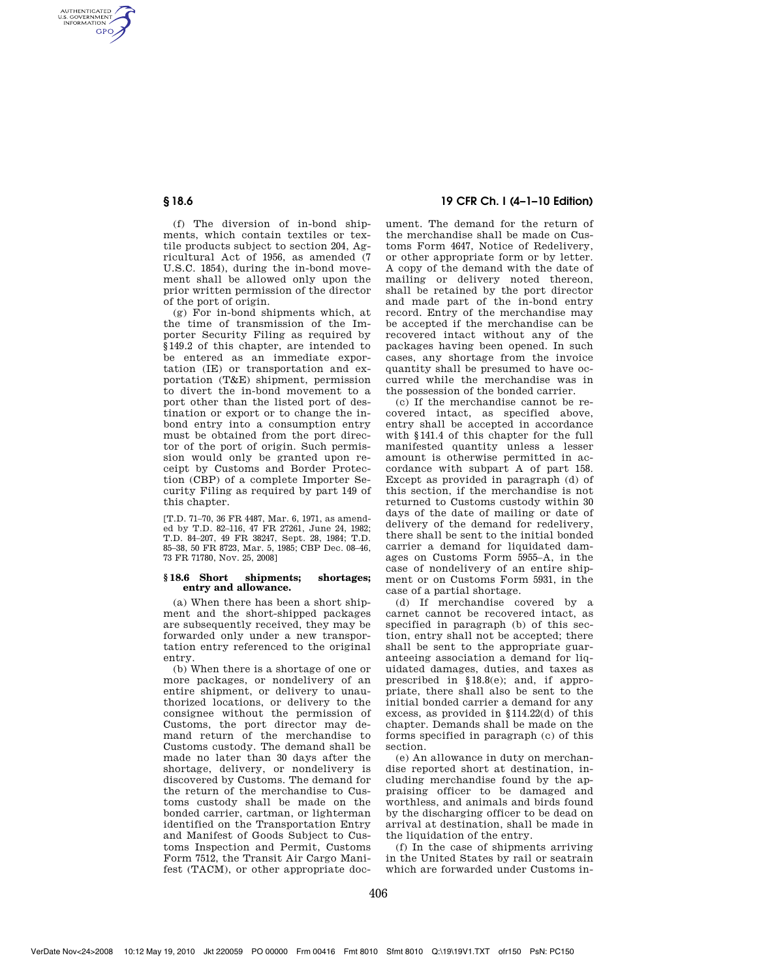AUTHENTICATED<br>U.S. GOVERNMENT<br>INFORMATION **GPO** 

> (f) The diversion of in-bond shipments, which contain textiles or textile products subject to section 204, Agricultural Act of 1956, as amended (7 U.S.C. 1854), during the in-bond movement shall be allowed only upon the prior written permission of the director of the port of origin.

> (g) For in-bond shipments which, at the time of transmission of the Importer Security Filing as required by §149.2 of this chapter, are intended to be entered as an immediate exportation (IE) or transportation and exportation (T&E) shipment, permission to divert the in-bond movement to a port other than the listed port of destination or export or to change the inbond entry into a consumption entry must be obtained from the port director of the port of origin. Such permission would only be granted upon receipt by Customs and Border Protection (CBP) of a complete Importer Security Filing as required by part 149 of this chapter.

[T.D. 71–70, 36 FR 4487, Mar. 6, 1971, as amended by T.D. 82–116, 47 FR 27261, June 24, 1982; T.D. 84–207, 49 FR 38247, Sept. 28, 1984; T.D. 85–38, 50 FR 8723, Mar. 5, 1985; CBP Dec. 08–46, 73 FR 71780, Nov. 25, 2008]

#### **§ 18.6 Short shipments; shortages; entry and allowance.**

(a) When there has been a short shipment and the short-shipped packages are subsequently received, they may be forwarded only under a new transportation entry referenced to the original entry.

(b) When there is a shortage of one or more packages, or nondelivery of an entire shipment, or delivery to unauthorized locations, or delivery to the consignee without the permission of Customs, the port director may demand return of the merchandise to Customs custody. The demand shall be made no later than 30 days after the shortage, delivery, or nondelivery is discovered by Customs. The demand for the return of the merchandise to Customs custody shall be made on the bonded carrier, cartman, or lighterman identified on the Transportation Entry and Manifest of Goods Subject to Customs Inspection and Permit, Customs Form 7512, the Transit Air Cargo Manifest (TACM), or other appropriate doc-

# **§ 18.6 19 CFR Ch. I (4–1–10 Edition)**

ument. The demand for the return of the merchandise shall be made on Customs Form 4647, Notice of Redelivery, or other appropriate form or by letter. A copy of the demand with the date of mailing or delivery noted thereon, shall be retained by the port director and made part of the in-bond entry record. Entry of the merchandise may be accepted if the merchandise can be recovered intact without any of the packages having been opened. In such cases, any shortage from the invoice quantity shall be presumed to have occurred while the merchandise was in the possession of the bonded carrier.

(c) If the merchandise cannot be recovered intact, as specified above, entry shall be accepted in accordance with §141.4 of this chapter for the full manifested quantity unless a lesser amount is otherwise permitted in accordance with subpart A of part 158. Except as provided in paragraph (d) of this section, if the merchandise is not returned to Customs custody within 30 days of the date of mailing or date of delivery of the demand for redelivery, there shall be sent to the initial bonded carrier a demand for liquidated damages on Customs Form 5955–A, in the case of nondelivery of an entire shipment or on Customs Form 5931, in the case of a partial shortage.

(d) If merchandise covered by a carnet cannot be recovered intact, as specified in paragraph (b) of this section, entry shall not be accepted; there shall be sent to the appropriate guaranteeing association a demand for liquidated damages, duties, and taxes as prescribed in §18.8(e); and, if appropriate, there shall also be sent to the initial bonded carrier a demand for any excess, as provided in §114.22(d) of this chapter. Demands shall be made on the forms specified in paragraph (c) of this section.

(e) An allowance in duty on merchandise reported short at destination, including merchandise found by the appraising officer to be damaged and worthless, and animals and birds found by the discharging officer to be dead on arrival at destination, shall be made in the liquidation of the entry.

(f) In the case of shipments arriving in the United States by rail or seatrain which are forwarded under Customs in-